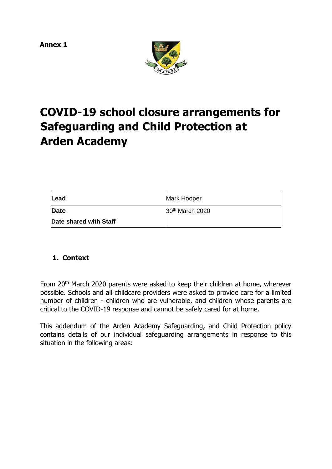**Annex 1** 



# **COVID-19 school closure arrangements for Safeguarding and Child Protection at Arden Academy**

| Lead                   | Mark Hooper                 |  |
|------------------------|-----------------------------|--|
| Date                   | 30 <sup>th</sup> March 2020 |  |
| Date shared with Staff |                             |  |

# <span id="page-0-0"></span>**1. Context**

From 20th March 2020 parents were asked to keep their children at home, wherever possible. Schools and all childcare providers were asked to provide care for a limited number of children - children who are vulnerable, and children whose parents are critical to the COVID-19 response and cannot be safely cared for at home.

This addendum of the Arden Academy Safeguarding, and Child Protection policy contains details of our individual safeguarding arrangements in response to this situation in the following areas: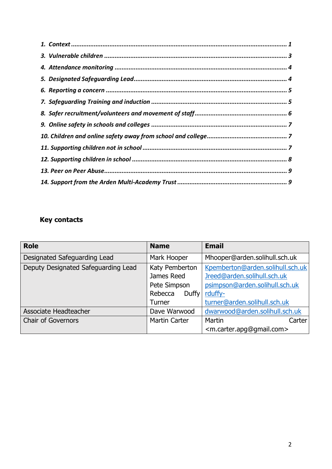# **Key contacts**

| <b>Role</b>                         | <b>Name</b>             | <b>Email</b>                                      |
|-------------------------------------|-------------------------|---------------------------------------------------|
| Designated Safeguarding Lead        | Mark Hooper             | Mhooper@arden.solihull.sch.uk                     |
| Deputy Designated Safeguarding Lead | Katy Pemberton          | Kpemberton@arden.solihull.sch.uk                  |
| James Reed                          |                         | Jreed@arden.solihull.sch.uk                       |
|                                     | Pete Simpson            | psimpson@arden.solihull.sch.uk                    |
|                                     | Rebecca<br><b>Duffy</b> | rduffy-                                           |
|                                     | <b>Turner</b>           | turner@arden.solihull.sch.uk                      |
| Associate Headteacher               | Dave Warwood            | dwarwood@arden.solihull.sch.uk                    |
| <b>Chair of Governors</b>           | <b>Martin Carter</b>    | Martin<br>Carter                                  |
|                                     |                         | <m.carter.apg@gmail.com></m.carter.apg@gmail.com> |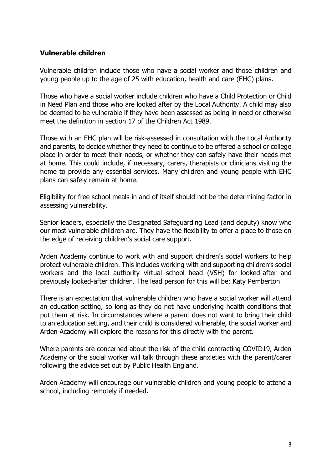#### <span id="page-2-0"></span>**Vulnerable children**

Vulnerable children include those who have a social worker and those children and young people up to the age of 25 with education, health and care (EHC) plans.

Those who have a social worker include children who have a Child Protection or Child in Need Plan and those who are looked after by the Local Authority. A child may also be deemed to be vulnerable if they have been assessed as being in need or otherwise meet the definition in section 17 of the Children Act 1989.

Those with an EHC plan will be risk-assessed in consultation with the Local Authority and parents, to decide whether they need to continue to be offered a school or college place in order to meet their needs, or whether they can safely have their needs met at home. This could include, if necessary, carers, therapists or clinicians visiting the home to provide any essential services. Many children and young people with EHC plans can safely remain at home.

Eligibility for free school meals in and of itself should not be the determining factor in assessing vulnerability.

Senior leaders, especially the Designated Safeguarding Lead (and deputy) know who our most vulnerable children are. They have the flexibility to offer a place to those on the edge of receiving children's social care support.

Arden Academy continue to work with and support children's social workers to help protect vulnerable children. This includes working with and supporting children's social workers and the local authority virtual school head (VSH) for looked-after and previously looked-after children. The lead person for this will be: Katy Pemberton

There is an expectation that vulnerable children who have a social worker will attend an education setting, so long as they do not have underlying health conditions that put them at risk. In circumstances where a parent does not want to bring their child to an education setting, and their child is considered vulnerable, the social worker and Arden Academy will explore the reasons for this directly with the parent.

Where parents are concerned about the risk of the child contracting COVID19, Arden Academy or the social worker will talk through these anxieties with the parent/carer following the advice set out by Public Health England.

Arden Academy will encourage our vulnerable children and young people to attend a school, including remotely if needed.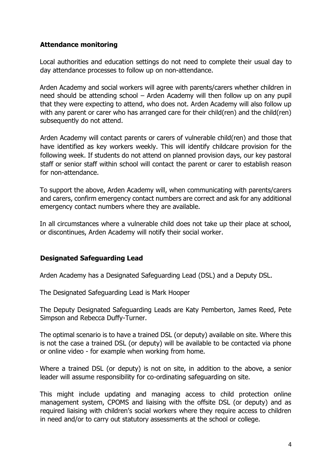## <span id="page-3-0"></span>**Attendance monitoring**

Local authorities and education settings do not need to complete their usual day to day attendance processes to follow up on non-attendance.

Arden Academy and social workers will agree with parents/carers whether children in need should be attending school – Arden Academy will then follow up on any pupil that they were expecting to attend, who does not. Arden Academy will also follow up with any parent or carer who has arranged care for their child(ren) and the child(ren) subsequently do not attend.

Arden Academy will contact parents or carers of vulnerable child(ren) and those that have identified as key workers weekly. This will identify childcare provision for the following week. If students do not attend on planned provision days, our key pastoral staff or senior staff within school will contact the parent or carer to establish reason for non-attendance.

To support the above, Arden Academy will, when communicating with parents/carers and carers, confirm emergency contact numbers are correct and ask for any additional emergency contact numbers where they are available.

In all circumstances where a vulnerable child does not take up their place at school, or discontinues, Arden Academy will notify their social worker.

#### <span id="page-3-1"></span>**Designated Safeguarding Lead**

Arden Academy has a Designated Safeguarding Lead (DSL) and a Deputy DSL.

The Designated Safeguarding Lead is Mark Hooper

The Deputy Designated Safeguarding Leads are Katy Pemberton, James Reed, Pete Simpson and Rebecca Duffy-Turner.

The optimal scenario is to have a trained DSL (or deputy) available on site. Where this is not the case a trained DSL (or deputy) will be available to be contacted via phone or online video - for example when working from home.

Where a trained DSL (or deputy) is not on site, in addition to the above, a senior leader will assume responsibility for co-ordinating safeguarding on site.

This might include updating and managing access to child protection online management system, CPOMS and liaising with the offsite DSL (or deputy) and as required liaising with children's social workers where they require access to children in need and/or to carry out statutory assessments at the school or college.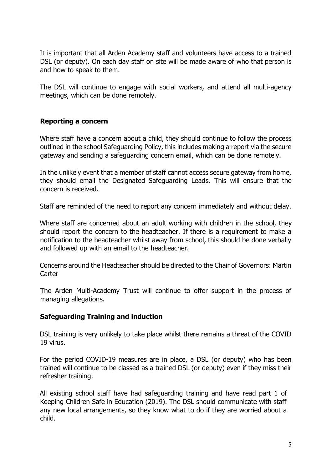It is important that all Arden Academy staff and volunteers have access to a trained DSL (or deputy). On each day staff on site will be made aware of who that person is and how to speak to them.

The DSL will continue to engage with social workers, and attend all multi-agency meetings, which can be done remotely.

# <span id="page-4-0"></span>**Reporting a concern**

Where staff have a concern about a child, they should continue to follow the process outlined in the school Safeguarding Policy, this includes making a report via the secure gateway and sending a safeguarding concern email, which can be done remotely.

In the unlikely event that a member of staff cannot access secure gateway from home, they should email the Designated Safeguarding Leads. This will ensure that the concern is received.

Staff are reminded of the need to report any concern immediately and without delay.

Where staff are concerned about an adult working with children in the school, they should report the concern to the headteacher. If there is a requirement to make a notification to the headteacher whilst away from school, this should be done verbally and followed up with an email to the headteacher.

Concerns around the Headteacher should be directed to the Chair of Governors: Martin **Carter** 

The Arden Multi-Academy Trust will continue to offer support in the process of managing allegations.

#### <span id="page-4-1"></span>**Safeguarding Training and induction**

DSL training is very unlikely to take place whilst there remains a threat of the COVID 19 virus.

For the period COVID-19 measures are in place, a DSL (or deputy) who has been trained will continue to be classed as a trained DSL (or deputy) even if they miss their refresher training.

All existing school staff have had safeguarding training and have read part 1 of Keeping Children Safe in Education (2019). The DSL should communicate with staff any new local arrangements, so they know what to do if they are worried about a child.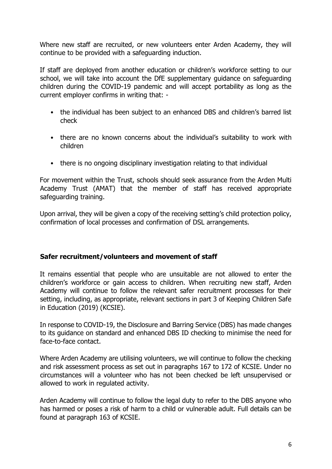Where new staff are recruited, or new volunteers enter Arden Academy, they will continue to be provided with a safeguarding induction.

If staff are deployed from another education or children's workforce setting to our school, we will take into account the DfE supplementary guidance on safeguarding children during the COVID-19 pandemic and will accept portability as long as the current employer confirms in writing that: -

- the individual has been subject to an enhanced DBS and children's barred list check
- there are no known concerns about the individual's suitability to work with children
- there is no ongoing disciplinary investigation relating to that individual

For movement within the Trust, schools should seek assurance from the Arden Multi Academy Trust (AMAT) that the member of staff has received appropriate safeguarding training.

Upon arrival, they will be given a copy of the receiving setting's child protection policy, confirmation of local processes and confirmation of DSL arrangements.

#### <span id="page-5-0"></span>**Safer recruitment/volunteers and movement of staff**

It remains essential that people who are unsuitable are not allowed to enter the children's workforce or gain access to children. When recruiting new staff, Arden Academy will continue to follow the relevant safer recruitment processes for their setting, including, as appropriate, relevant sections in part 3 of Keeping Children Safe in Education (2019) (KCSIE).

In response to COVID-19, the Disclosure and Barring Service (DBS) has made changes to its guidance on standard and enhanced DBS ID checking to minimise the need for face-to-face contact.

Where Arden Academy are utilising volunteers, we will continue to follow the checking and risk assessment process as set out in paragraphs 167 to 172 of KCSIE. Under no circumstances will a volunteer who has not been checked be left unsupervised or allowed to work in regulated activity.

Arden Academy will continue to follow the legal duty to refer to the DBS anyone who has harmed or poses a risk of harm to a child or vulnerable adult. Full details can be found at paragraph 163 of KCSIE.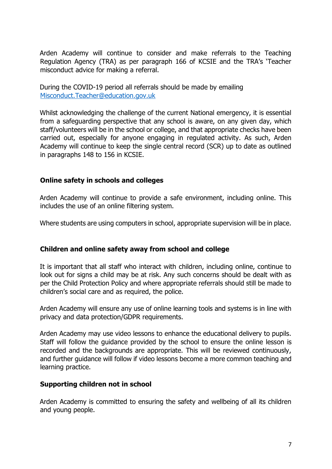Arden Academy will continue to consider and make referrals to the Teaching Regulation Agency (TRA) as per paragraph 166 of KCSIE and the TRA's 'Teacher misconduct advice for making a referral.

During the COVID-19 period all referrals should be made by emailing Misconduct.Teacher@education.gov.uk

Whilst acknowledging the challenge of the current National emergency, it is essential from a safeguarding perspective that any school is aware, on any given day, which staff/volunteers will be in the school or college, and that appropriate checks have been carried out, especially for anyone engaging in regulated activity. As such, Arden Academy will continue to keep the single central record (SCR) up to date as outlined in paragraphs 148 to 156 in KCSIE.

#### <span id="page-6-0"></span>**Online safety in schools and colleges**

Arden Academy will continue to provide a safe environment, including online. This includes the use of an online filtering system.

Where students are using computers in school, appropriate supervision will be in place.

#### <span id="page-6-1"></span>**Children and online safety away from school and college**

It is important that all staff who interact with children, including online, continue to look out for signs a child may be at risk. Any such concerns should be dealt with as per the Child Protection Policy and where appropriate referrals should still be made to children's social care and as required, the police.

Arden Academy will ensure any use of online learning tools and systems is in line with privacy and data protection/GDPR requirements.

Arden Academy may use video lessons to enhance the educational delivery to pupils. Staff will follow the guidance provided by the school to ensure the online lesson is recorded and the backgrounds are appropriate. This will be reviewed continuously, and further guidance will follow if video lessons become a more common teaching and learning practice.

#### <span id="page-6-2"></span>**Supporting children not in school**

Arden Academy is committed to ensuring the safety and wellbeing of all its children and young people.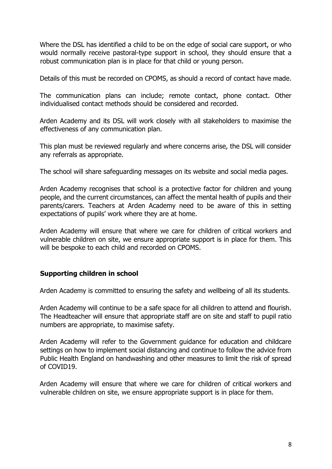Where the DSL has identified a child to be on the edge of social care support, or who would normally receive pastoral-type support in school, they should ensure that a robust communication plan is in place for that child or young person.

Details of this must be recorded on CPOMS, as should a record of contact have made.

The communication plans can include; remote contact, phone contact. Other individualised contact methods should be considered and recorded.

Arden Academy and its DSL will work closely with all stakeholders to maximise the effectiveness of any communication plan.

This plan must be reviewed regularly and where concerns arise, the DSL will consider any referrals as appropriate.

The school will share safeguarding messages on its website and social media pages.

Arden Academy recognises that school is a protective factor for children and young people, and the current circumstances, can affect the mental health of pupils and their parents/carers. Teachers at Arden Academy need to be aware of this in setting expectations of pupils' work where they are at home.

Arden Academy will ensure that where we care for children of critical workers and vulnerable children on site, we ensure appropriate support is in place for them. This will be bespoke to each child and recorded on CPOMS.

# <span id="page-7-0"></span>**Supporting children in school**

Arden Academy is committed to ensuring the safety and wellbeing of all its students.

Arden Academy will continue to be a safe space for all children to attend and flourish. The Headteacher will ensure that appropriate staff are on site and staff to pupil ratio numbers are appropriate, to maximise safety.

Arden Academy will refer to the Government guidance for education and childcare settings on how to implement social distancing and continue to follow the advice from Public Health England on handwashing and other measures to limit the risk of spread of COVID19.

Arden Academy will ensure that where we care for children of critical workers and vulnerable children on site, we ensure appropriate support is in place for them.